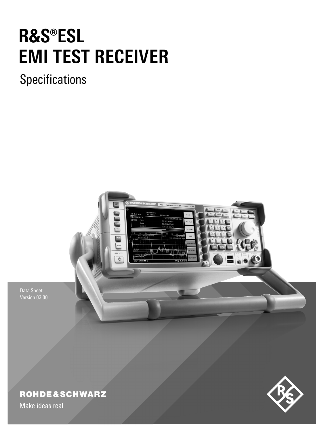# **R&S®ESL EMI TEST RECEIVER**

# **Specifications**



Data Sheet Version 03.00

## **ROHDE&SCHWARZ**

Make ideas real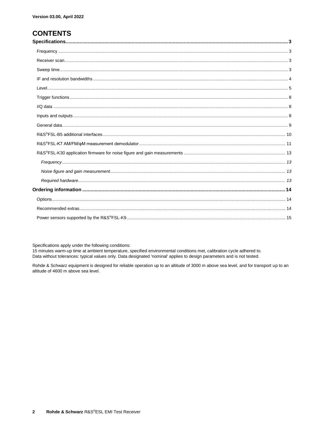### **CONTENTS**

Specifications apply under the following conditions:

15 minutes warm-up time at ambient temperature, specified environmental conditions met, calibration cycle adhered to. Data without tolerances: typical values only. Data designated 'nominal' applies to design parameters and is not tested.

Rohde & Schwarz equipment is designed for reliable operation up to an altitude of 3000 m above sea level, and for transport up to an altitude of 4600 m above sea level.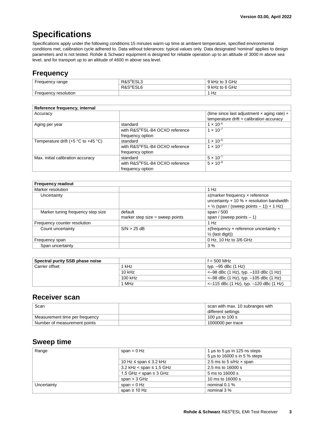### **Specifications**

Specifications apply under the following conditions:15 minutes warm-up time at ambient temperature, specified environmental conditions met, calibration cycle adhered to. Data without tolerances: typical values only. Data designated 'nominal' applies to design parameters and is not tested. Rohde & Schwarz equipment is designed for reliable operation up to an altitude of 3000 m above sea level, and for transport up to an altitude of 4600 m above sea level.

### **Frequency**

| Frequency range      | R&S <sup>®</sup> ESL3 | ) kHz to 3 GHz |
|----------------------|-----------------------|----------------|
|                      | R&S <sup>®</sup> ESL6 | kHz to 6 GHz   |
| Frequency resolution |                       | Hz             |

| Reference frequency, internal             |                                |                                                    |
|-------------------------------------------|--------------------------------|----------------------------------------------------|
| Accuracy                                  |                                | (time since last adjustment $\times$ aging rate) + |
|                                           |                                | temperature drift + calibration accuracy           |
| Aging per year                            | standard                       | $1 \times 10^{-6}$                                 |
|                                           | with R&S®FSL-B4 OCXO reference | $1 \times 10^{-7}$                                 |
|                                           | frequency option               |                                                    |
| Temperature drift $(+5 °C)$ to $+45 °C$ ) | standard                       | $1 \times 10^{-6}$                                 |
|                                           | with R&S®FSL-B4 OCXO reference | $1 \times 10^{-7}$                                 |
|                                           | frequency option               |                                                    |
| Max. initial calibration accuracy         | standard                       | $5 \times 10^{-7}$                                 |
|                                           | with R&S®FSL-B4 OCXO reference | $5 \times 10^{-8}$                                 |
|                                           | frequency option               |                                                    |

| <b>Frequency readout</b>          |                                 |                                                           |
|-----------------------------------|---------------------------------|-----------------------------------------------------------|
| Marker resolution                 |                                 | 1 Hz                                                      |
| Uncertainty                       |                                 | $\pm$ (marker frequency x reference                       |
|                                   |                                 | uncertainty + 10 % $\times$ resolution bandwidth          |
|                                   |                                 | $+$ 1/ <sub>2</sub> (span / (sweep points $-$ 1)) + 1 Hz) |
| Marker tuning frequency step size | default                         | span $/500$                                               |
|                                   | marker step size = sweep points | span / (sweep points $-1$ )                               |
| Frequency counter resolution      |                                 | 1 Hz                                                      |
| Count uncertainty                 | $S/N > 25$ dB                   | $\pm$ (frequency x reference uncertainty +                |
|                                   |                                 | $\frac{1}{2}$ (last digit))                               |
| Frequency span                    |                                 | 0 Hz, 10 Hz to 3/6 GHz                                    |
| Span uncertainty                  |                                 | 3%                                                        |

| Spectral purity SSB phase noise |          | $f = 500$ MHz                                    |
|---------------------------------|----------|--------------------------------------------------|
| Carrier offset                  | 1 kHz    | typ. -95 dBc (1 Hz)                              |
|                                 | $10$ kHz | $\epsilon$ –98 dBc (1 Hz), typ. –103 dBc (1 Hz)  |
|                                 | 100 kHz  | $\epsilon$ –98 dBc (1 Hz), typ. –105 dBc (1 Hz)  |
|                                 | 1 MHz    | $\epsilon$ –115 dBc (1 Hz), typ. –120 dBc (1 Hz) |

#### **Receiver scan**

| Scan                           | scan with max. 10 subranges with<br>different settings |
|--------------------------------|--------------------------------------------------------|
| Measurement time per frequency | 100 us to 100 s                                        |
| Number of measurement points   | 1000000 per trace                                      |

#### **Sweep time**

| Range       | span = $0$ Hz                   | 1 $\mu$ s to 5 $\mu$ s in 125 ns steps |
|-------------|---------------------------------|----------------------------------------|
|             |                                 | 5 µs to 16000 s in 5 % steps           |
|             | 10 Hz ≤ span ≤ 3.2 kHz          | 2.5 ms to 5 s/Hz $\times$ span         |
|             | 3.2 kHz $<$ span $\leq$ 1.5 GHz | 2.5 ms to 16000 s                      |
|             | 1.5 GHz < span $\leq$ 3 GHz     | 5 ms to 16000 s                        |
|             | span $>$ 3 GHz                  | 10 ms to 16000 s                       |
| Uncertainty | span = $0$ Hz                   | nominal 0.1 %                          |
|             | span $\geq$ 10 Hz               | nominal 3 %                            |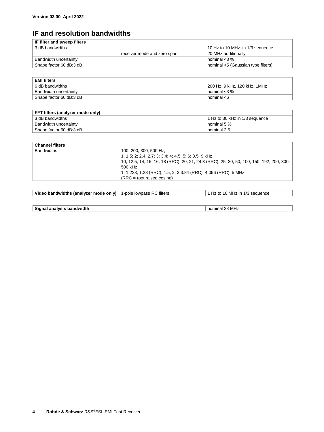### **IF and resolution bandwidths**

| IF filter and sweep filters |                             |                                    |
|-----------------------------|-----------------------------|------------------------------------|
| 3 dB bandwidths             |                             | 10 Hz to 10 MHz in 1/3 sequence    |
|                             | receiver mode and zero span | 20 MHz additionally                |
| Bandwidth uncertainty       |                             | nominal $<$ 3 %                    |
| Shape factor 60 dB:3 dB     |                             | nominal <5 (Gaussian type filters) |

| <b>EMI filters</b>      |  |                              |
|-------------------------|--|------------------------------|
| 6 dB bandwidths         |  | 200 Hz, 9 kHz, 120 kHz, 1MHz |
| Bandwidth uncertainty   |  | nominal $<$ 3 %              |
| Shape factor 60 dB:3 dB |  | nominal <6                   |
|                         |  |                              |

| FFT filters (analyzer mode only) |                                  |  |
|----------------------------------|----------------------------------|--|
| 3 dB bandwidths                  | l 1 Hz to 30 kHz in 1/3 seauence |  |
| Bandwidth uncertainty            | $^{\circ}$ nominal 5 %.          |  |
| Shape factor 60 dB:3 dB          | nominal 2.5                      |  |

| <b>Channel filters</b> |                                                                                          |
|------------------------|------------------------------------------------------------------------------------------|
| <b>Bandwidths</b>      | 100, 200, 300; 500 Hz;                                                                   |
|                        | 1; 1.5; 2; 2.4; 2.7; 3; 3.4; 4; 4.5; 5; 6; 8.5; 9 kHz                                    |
|                        | 10; 12.5; 14; 15; 16; 18 (RRC); 20; 21; 24.3 (RRC); 25; 30; 50; 100; 150; 192; 200; 300; |
|                        | 500 kHz                                                                                  |
|                        | 1; 1.228; 1.28 (RRC); 1.5; 2; 3;3.84 (RRC); 4.096 (RRC); 5 MHz                           |
|                        | $(RRC = root raised cosine)$                                                             |

| $\vert$ Video bandwidths (analyzer mode only) $\vert$ 1-pole lowpass RC filters | $\vert$ 1 Hz to 10 MHz in 1/3 sequence |
|---------------------------------------------------------------------------------|----------------------------------------|
|                                                                                 |                                        |

| Signal analysis bandwidth | ` 28 MHz<br>nominal |
|---------------------------|---------------------|
|---------------------------|---------------------|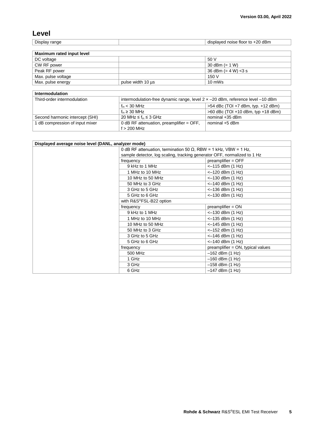#### **Level**

Display range and the contract of the displayed noise floor to +20 dBm

| Maximum rated input level |                   |                        |
|---------------------------|-------------------|------------------------|
| DC voltage                |                   | 50 V                   |
| CW RF power               |                   | 30 dBm $(= 1 W)$       |
| Peak RF power             |                   | 36 dBm $(= 4 W)$ < 3 s |
| Max. pulse voltage        |                   | 150 V                  |
| Max. pulse energy         | pulse width 10 us | $10 \text{ mWs}$       |

| Intermodulation                 |                                                                                |                                      |
|---------------------------------|--------------------------------------------------------------------------------|--------------------------------------|
| Third-order intermodulation     | intermodulation-free dynamic range, level 2 x -20 dBm, reference level -10 dBm |                                      |
|                                 | $f_{\text{in}}$ < 30 MHz                                                       | $>54$ dBc (TOI +7 dBm, typ. +12 dBm) |
|                                 | $f_{\text{in}} \geq 30$ MHz                                                    | $>60$ dBc (TOI +10 dBm, typ +18 dBm) |
| Second harmonic intercept (SHI) | 20 MHz $\leq$ f <sub>in</sub> $\leq$ 3 GHz                                     | nominal +35 dBm                      |
| dB compression of input mixer   | 0 dB RF attenuation, preamplifier $=$ OFF,                                     | nominal +5 dBm                       |
|                                 | $f > 200$ MHz                                                                  |                                      |

| Displayed average noise level (DANL, analyzer mode) |                                                                          |                                   |  |
|-----------------------------------------------------|--------------------------------------------------------------------------|-----------------------------------|--|
|                                                     | 0 dB RF attenuation, termination 50 $\Omega$ , RBW = 1 kHz, VBW = 1 Hz,  |                                   |  |
|                                                     | sample detector, log scaling, tracking generator OFF, normalized to 1 Hz |                                   |  |
|                                                     | frequency                                                                | $preamplifier = OFF$              |  |
|                                                     | 9 kHz to 1 MHz                                                           | <-115 dBm (1 Hz)                  |  |
|                                                     | 1 MHz to 10 MHz                                                          | $<-120$ dBm $(1 \text{ Hz})$      |  |
|                                                     | 10 MHz to 50 MHz                                                         | $<-130$ dBm $(1$ Hz)              |  |
|                                                     | 50 MHz to 3 GHz                                                          | <-140 dBm (1 Hz)                  |  |
|                                                     | 3 GHz to 5 GHz                                                           | $<-136$ dBm $(1$ Hz)              |  |
|                                                     | 5 GHz to 6 GHz                                                           | $<-130$ dBm $(1$ Hz)              |  |
|                                                     | with R&S®FSL-B22 option                                                  |                                   |  |
|                                                     | frequency                                                                | $preamplifier = ON$               |  |
|                                                     | 9 kHz to 1 MHz                                                           | $<-130$ dBm $(1$ Hz)              |  |
|                                                     | 1 MHz to 10 MHz                                                          | $<-135$ dBm $(1$ Hz)              |  |
|                                                     | 10 MHz to 50 MHz                                                         | $<-145$ dBm $(1$ Hz)              |  |
|                                                     | 50 MHz to 3 GHz                                                          | $<-152$ dBm $(1 Hz)$              |  |
|                                                     | 3 GHz to 5 GHz                                                           | $<-146$ dBm $(1$ Hz)              |  |
|                                                     | 5 GHz to 6 GHz                                                           | <-140 dBm (1 Hz)                  |  |
|                                                     | frequency                                                                | preamplifier = ON, typical values |  |
|                                                     | 500 MHz                                                                  | $-162$ dBm $(1$ Hz)               |  |
|                                                     | 1 GHz                                                                    | $-160$ dBm $(1$ Hz)               |  |
|                                                     | 3 GHz                                                                    | $-158$ dBm $(1$ Hz)               |  |
|                                                     | 6 GHz                                                                    | $-147$ dBm $(1$ Hz)               |  |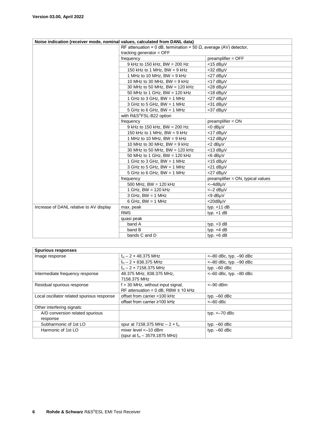| Noise indication (receiver mode, nominal values, calculated from DANL data) |                                                                           |                                   |
|-----------------------------------------------------------------------------|---------------------------------------------------------------------------|-----------------------------------|
|                                                                             | RF attenuation = 0 dB, termination = 50 $\Omega$ , average (AV) detector, |                                   |
|                                                                             | tracking generator $=$ OFF                                                |                                   |
|                                                                             | frequency                                                                 | preamplifier = OFF                |
|                                                                             | 9 kHz to 150 kHz, BW = 200 Hz                                             | $<$ 15 dB $\mu$ V                 |
|                                                                             | 150 kHz to 1 MHz, BW = $9$ kHz                                            | <32 dBµV                          |
|                                                                             | 1 MHz to 10 MHz, $BW = 9$ kHz                                             | <27 dBµV                          |
|                                                                             | 10 MHz to 30 MHz, BW = $9$ kHz                                            | <17 dBµV                          |
|                                                                             | 30 MHz to 50 MHz, BW = 120 kHz                                            | $<$ 28 dB $\mu$ V                 |
|                                                                             | 50 MHz to 1 GHz, BW = 120 kHz                                             | $<$ 18 dB $\mu$ V                 |
|                                                                             | 1 GHz to 3 GHz, $BW = 1$ MHz                                              | <27 dBµV                          |
|                                                                             | 3 GHz to 5 GHz, $BW = 1$ MHz                                              | <31 dBµV                          |
|                                                                             | 5 GHz to 6 GHz, $BW = 1$ MHz                                              | <37 dBµV                          |
|                                                                             | with R&S®FSL-B22 option                                                   |                                   |
|                                                                             | frequency                                                                 | $preamplifier = ON$               |
|                                                                             | 9 kHz to 150 kHz, BW = 200 Hz                                             | <0 dBµV                           |
|                                                                             | 150 kHz to 1 MHz, BW = $9$ kHz                                            | <17 dBµV                          |
|                                                                             | 1 MHz to 10 MHz, $BW = 9$ kHz                                             | $<$ 12 dB $\mu$ V                 |
|                                                                             | 10 MHz to 30 MHz, BW = $9$ kHz                                            | <2 dBµV                           |
|                                                                             | 30 MHz to 50 MHz, BW = 120 kHz                                            | $<$ 13 dB $\mu$ V                 |
|                                                                             | 50 MHz to 1 GHz, BW = 120 kHz                                             | <6 dBµV                           |
|                                                                             | 1 GHz to 3 GHz, $BW = 1$ MHz                                              | $<$ 15 dB $\mu$ V                 |
|                                                                             | 3 GHz to 5 GHz, $BW = 1$ MHz                                              | <21 dBµV                          |
|                                                                             | 5 GHz to 6 GHz, BW = 1 MHz                                                | <27 dBuV                          |
|                                                                             | frequency                                                                 | preamplifier = ON, typical values |
|                                                                             | 500 MHz, BW = 120 kHz                                                     | <-4dBµV                           |
|                                                                             | 1 GHz, $BW = 120$ kHz                                                     | $<-2$ dB $\mu$ V                  |
|                                                                             | $3 GHz$ , BW = 1 MHz                                                      | <9 dBµV                           |
|                                                                             | $6$ GHz, BW = 1 MHz                                                       | <20dBµV                           |
| Increase of DANL relative to AV display                                     | max. peak                                                                 | typ. $+11$ dB                     |
|                                                                             | <b>RMS</b>                                                                | typ. $+1$ dB                      |
|                                                                             | quasi peak                                                                |                                   |
|                                                                             | band A                                                                    | typ. $+3$ dB                      |
|                                                                             | band B                                                                    | typ. $+4$ dB                      |
|                                                                             | bands C and D                                                             | typ. $+6$ dB                      |

| <b>Spurious responses</b>                  |                                            |                            |
|--------------------------------------------|--------------------------------------------|----------------------------|
| Image response                             | $f_{in} - 2 \times 48.375$ MHz             | $<-80$ dBc, typ. $-90$ dBc |
|                                            | $f_{in} - 2 \times 838.375$ MHz            | $<-80$ dBc, typ. $-90$ dBc |
|                                            | $f_{in}$ – 2 × 7158.375 MHz                | typ. $-60$ dBc             |
| Intermediate frequency response            | 48.375 MHz, 838.375 MHz,                   | $<-60$ dBc, typ. $-80$ dBc |
|                                            | 7158.375 MHz                               |                            |
| Residual spurious response                 | $f > 30$ MHz, without input signal,        | $<-90$ dBm                 |
|                                            | RF attenuation = $0$ dB, RBW $\leq 10$ kHz |                            |
| Local oscillator related spurious response | offset from carrier <100 kHz               | typ. $-60$ dBc             |
|                                            | offset from carrier ≥100 kHz               | $<-60$ dBc                 |
| Other interfering signals:                 |                                            |                            |
| A/D conversion related spurious            |                                            | typ. $<-70$ dBc            |
| response                                   |                                            |                            |
| Subharmonic of 1st LO                      | spur at 7158.375 MHz $- 2 \times f_{in}$   | typ. $-60$ dBc             |
| Harmonic of 1st LO                         | mixer level $<-10$ dBm                     | typ. $-60$ dBc             |
|                                            | (spur at $f_{in}$ – 3579.1875 MHz)         |                            |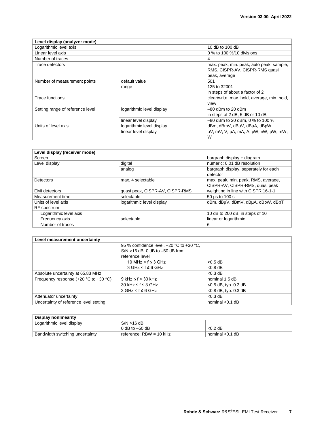| Level display (analyzer mode)    |                           |                                                                            |
|----------------------------------|---------------------------|----------------------------------------------------------------------------|
| Logarithmic level axis           |                           | 10 dB to 100 dB                                                            |
| Linear level axis                |                           | 0 % to 100 %/10 divisions                                                  |
| Number of traces                 |                           | 4                                                                          |
| Trace detectors                  |                           | max. peak, min. peak, auto peak, sample,<br>RMS, CISPR-AV, CISPR-RMS quasi |
|                                  |                           | peak, average                                                              |
| Number of measurement points     | default value             | 501                                                                        |
|                                  | range                     | 125 to 32001                                                               |
|                                  |                           | in steps of about a factor of 2                                            |
| Trace functions                  |                           | clear/write, max. hold, average, min. hold,                                |
|                                  |                           | view                                                                       |
| Setting range of reference level | logarithmic level display | $-80$ dBm to 20 dBm                                                        |
|                                  |                           | in steps of 2 dB, 5 dB or 10 dB                                            |
|                                  | linear level display      | -80 dBm to 20 dBm, 0 % to 100 %                                            |
| Units of level axis              | logarithmic level display | dBm, dBmV, dBµV, dBµA, dBpW                                                |
|                                  | linear level display      | $\mu$ V, mV, V, $\mu$ A, mA, A, pW, nW, $\mu$ W, mW,<br>W                  |

| Level display (receiver mode) |                                 |                                       |
|-------------------------------|---------------------------------|---------------------------------------|
| Screen                        |                                 | bargraph display + diagram            |
| Level display                 | digital                         | numeric; 0.01 dB resolution           |
|                               | analog                          | bargraph display, separately for each |
|                               |                                 | detector                              |
| Detectors                     | max. 4 selectable               | max. peak, min. peak, RMS, average,   |
|                               |                                 | CISPR-AV, CISPR-RMS, quasi peak       |
| <b>EMI</b> detectors          | quasi peak, CISPR-AV, CISPR-RMS | weighting in line with CISPR 16-1-1   |
| Measurement time              | selectable                      | 50 µs to 100 s                        |
| Units of level axis           | logarithmic level display       | dBm, dBµV, dBmV, dBµA, dBpW, dBpT     |
| RF spectrum                   |                                 |                                       |
| Logarithmic level axis        |                                 | 10 dB to 200 dB, in steps of 10       |
| Frequency axis                | selectable                      | linear or logarithmic                 |
| Number of traces              |                                 | 6                                     |

| Level measurement uncertainty               |                                          |                         |
|---------------------------------------------|------------------------------------------|-------------------------|
|                                             | 95 % confidence level, +20 °C to +30 °C, |                         |
|                                             | $S/N > 16$ dB, 0 dB to $-50$ dB from     |                         |
|                                             | reference level                          |                         |
|                                             | 10 MHz $\le$ f $\le$ 3 GHz               | $<$ 0.5 dB              |
|                                             | $3$ GHz < $f \le 6$ GHz                  | $< 0.8$ dB              |
| Absolute uncertainty at 65.83 MHz           |                                          | $< 0.3$ dB              |
| Frequency response $(+20 °C)$ to $+30 °C$ ) | $9$ kHz $\leq$ f < 30 kHz                | nominal 1.5 dB          |
|                                             | $30$ kHz ≤ f ≤ 3 GHz                     | $<$ 0.5 dB, typ. 0.3 dB |
|                                             | $3 GHz < f \le 6 GHz$                    | $<$ 0.8 dB, typ. 0.3 dB |
| Attenuator uncertainty                      |                                          | $< 0.3$ dB              |
| Uncertainty of reference level setting      |                                          | nominal $< 0.1$ dB      |

| Display nonlinearity            |                         |                   |
|---------------------------------|-------------------------|-------------------|
| Logarithmic level display       | S/N > 16 dB             |                   |
|                                 | 0 dB to $-50$ dB        | $< 0.2$ dB        |
| Bandwidth switching uncertainty | reference: RBW = 10 kHz | ∣ nominal <0.1 dB |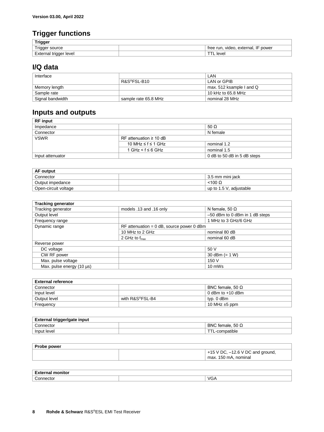### **Trigger functions**

| Trigger                        |                                        |
|--------------------------------|----------------------------------------|
| ு — ப<br>source<br>riaaer<br>. | power<br>video, external,<br>tree run, |
| External trigger level         | leve                                   |

### **I/Q data**

| Interface        |                      | LAN                      |
|------------------|----------------------|--------------------------|
|                  | R&S®FSL-B10          | LAN or GPIB              |
| Memory length    |                      | max, 512 ksample I and Q |
| Sample rate      |                      | 10 kHz to 65.8 MHz       |
| Signal bandwidth | sample rate 65.8 MHz | ' nominal 28 MHz         |

### **Inputs and outputs**

| <b>RF</b> input  |                               |                             |
|------------------|-------------------------------|-----------------------------|
| Impedance        |                               | 50 $\Omega$                 |
| Connector        |                               | N female                    |
| <b>VSWR</b>      | RF attenuation $\geq 10$ dB   |                             |
|                  | 10 MHz ≤ f ≤ 1 GHz            | nominal 1.2                 |
|                  | $1$ GHz $\leq$ f $\leq$ 6 GHz | nominal 1.5                 |
| Input attenuator |                               | 0 dB to 50 dB in 5 dB steps |

| <b>AF output</b>     |  |                            |
|----------------------|--|----------------------------|
| Connector            |  | 3.5 mm mini jack           |
| Output impedance     |  | $<$ 100 $\Omega$           |
| Open-circuit voltage |  | up to 1.5 V, adjustable up |

| <b>Tracking generator</b> |                                             |                                |
|---------------------------|---------------------------------------------|--------------------------------|
| Tracking generator        | models .13 and .16 only                     | N female, 50 $\Omega$          |
| Output level              |                                             | -50 dBm to 0 dBm in 1 dB steps |
| Frequency range           |                                             | 1 MHz to 3 GHz/6 GHz           |
| Dynamic range             | $RF$ attenuation = 0 dB, source power 0 dBm |                                |
|                           | 10 MHz to 2 GHz                             | nominal 80 dB                  |
|                           | 2 GHz to $f_{\text{max}}$                   | nominal 60 dB                  |
| Reverse power             |                                             |                                |
| DC voltage                |                                             | 50 V                           |
| CW RF power               |                                             | 30 dBm $(= 1 W)$               |
| Max. pulse voltage        |                                             | 150 V                          |
| Max. pulse energy (10 µs) |                                             | 10 mWs                         |

| <b>External reference</b> |                 |                         |
|---------------------------|-----------------|-------------------------|
| Connector                 |                 | BNC female, 50 $\Omega$ |
| Input level               |                 | 0 dBm to $+10$ dBm      |
| Output level              | with R&S®FSL-B4 | typ. 0 dBm              |
| Frequency                 |                 | 10 MHz $\pm$ 5 ppm      |

| Ev.<br>l trigger/gate input<br>$-$<br>наг<br>wiggen |                               |  |
|-----------------------------------------------------|-------------------------------|--|
| ∽<br>:nnnectol<br>$$ CTOL $\overline{a}$            | 50 Ω<br><b>BNC</b><br>female. |  |
| .<br>Input level<br>compatible<br>- 1<br>-          |                               |  |

| <b>Probe power</b> |                                      |
|--------------------|--------------------------------------|
|                    | $+15$ V DC, $-12.6$ V DC and ground, |
|                    | max. 150 mA, nominal                 |
|                    |                                      |

| <b>External monitor</b>               |  |     |
|---------------------------------------|--|-----|
| $\overline{\phantom{0}}$<br>Connector |  | VG/ |
|                                       |  |     |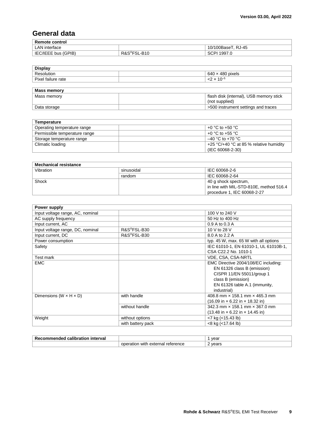### **General data**

| <b>Remote control</b> |                   |                    |
|-----------------------|-------------------|--------------------|
| LAN interface         |                   | 10/100BaseT, RJ-45 |
| IEC/IEEE bus (GPIB)   | R&S®FSL·<br>L-B10 | ີ 1997.ປ<br>וטכ    |

| <b>Display</b>     |                                         |
|--------------------|-----------------------------------------|
| Resolution         | $640 \times 480$ pixels                 |
| Pixel failure rate | $<$ 2 x 10 <sup>-5</sup>                |
|                    |                                         |
| <b>Mass memory</b> |                                         |
| Mass memory        | flash disk (internal), USB memory stick |
|                    | (not supplied)                          |
| Data storage       | >500 instrument settings and traces     |

| Temperature                   |                                                           |
|-------------------------------|-----------------------------------------------------------|
| Operating temperature range   | +0 °C to +50 °C                                           |
| Permissible temperature range | +0 °C to +55 °C                                           |
| Storage temperature range     | $-40$ °C to +70 °C                                        |
| Climatic loading              | +25 $\degree$ C/+40 $\degree$ C at 85 % relative humidity |
|                               | (IEC 60068-2-30)                                          |

| <b>Mechanical resistance</b> |            |                                         |
|------------------------------|------------|-----------------------------------------|
| Vibration                    | sinusoidal | IEC 60068-2-6                           |
|                              | random     | IEC 60068-2-64                          |
| Shock                        |            | 40 g shock spectrum,                    |
|                              |            | in line with MIL-STD-810E, method 516.4 |
|                              |            | procedure 1, IEC 60068-2-27             |

| Power supply                         |                          |                                                                     |
|--------------------------------------|--------------------------|---------------------------------------------------------------------|
| Input voltage range, AC, nominal     |                          | 100 V to 240 V                                                      |
| AC supply frequency                  |                          | 50 Hz to 400 Hz                                                     |
| Input current, AC                    |                          | 0.9 A to 0.3 A                                                      |
| Input voltage range, DC, nominal     | R&S <sup>®</sup> FSL-B30 | 10 V to 28 V                                                        |
| Input current, DC                    | R&S <sup>®</sup> FSL-B30 | 8.0 A to 2.2 A                                                      |
| Power consumption                    |                          | typ. 45 W, max. 65 W with all options                               |
| Safety                               |                          | IEC 61010-1, EN 61010-1, UL 61010B-1,                               |
|                                      |                          | CSA C22.2 No. 1010-1                                                |
| Test mark                            |                          | VDE, CSA, CSA-NRTL                                                  |
| <b>EMC</b>                           |                          | EMC Directive 2004/108/EC including:                                |
|                                      |                          | EN 61326 class B (emission)                                         |
|                                      |                          | CISPR 11/EN 55011/group 1                                           |
|                                      |                          | class B (emission)                                                  |
|                                      |                          | EN 61326 table A.1 (immunity,                                       |
|                                      |                          | industrial)                                                         |
| Dimensions (W $\times$ H $\times$ D) | with handle              | 408.8 mm × 158.1 mm × 465.3 mm                                      |
|                                      |                          | $(16.09 \text{ in} \times 6.22 \text{ in} \times 18.32 \text{ in})$ |
|                                      | without handle           | 342.3 mm × 158.1 mm × 367.0 mm                                      |
|                                      |                          | $(13.48 \text{ in} \times 6.22 \text{ in} \times 14.45 \text{ in})$ |
| Weight                               | without options          | $<$ 7 kg ( $<$ 15.43 lb)                                            |
|                                      | with battery pack        | <8 kg (<17.64 lb)                                                   |

| Reg<br>interval<br>calibration.<br>ame<br>enaec |                                            | 1102'<br>/Uai |
|-------------------------------------------------|--------------------------------------------|---------------|
|                                                 | reference<br>external<br>oneration<br>with | years<br>--   |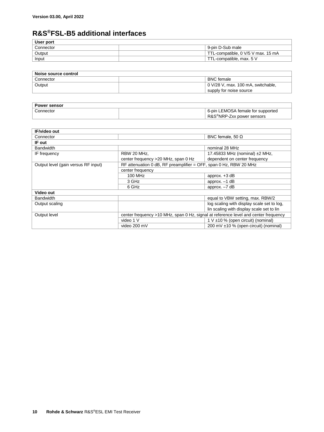### **R&S®FSL-B5 additional interfaces**

| User port |                                    |
|-----------|------------------------------------|
| Connector | 9-pin D-Sub male                   |
| Output    | TTL-compatible, 0 V/5 V max. 15 mA |
| Input     | TTL-compatible, max. 5 V           |
|           |                                    |

| Noise source control |                                    |
|----------------------|------------------------------------|
| Connector            | <b>BNC</b> female                  |
| Output               | 0 V/28 V, max. 100 mA, switchable, |
|                      | supply for noise source            |
|                      |                                    |

| <b>Power sensor</b> |                                        |
|---------------------|----------------------------------------|
| Connector           | 6-pin LEMOSA female for supported      |
|                     | R&S <sup>®</sup> NRP-Zxx power sensors |

| <b>IF/video out</b>                 |                                                                                     |                                            |
|-------------------------------------|-------------------------------------------------------------------------------------|--------------------------------------------|
| Connector                           |                                                                                     | BNC female, 50 $\Omega$                    |
| IF out                              |                                                                                     |                                            |
| <b>Bandwidth</b>                    |                                                                                     | nominal 28 MHz                             |
| IF frequency                        | RBW 20 MHz,                                                                         | 17.45833 MHz (nominal) ±2 MHz,             |
|                                     | center frequency > 20 MHz, span 0 Hz                                                | dependent on center frequency              |
| Output level (gain versus RF input) | RF attenuation 0 dB, RF preamplifier = OFF, span 0 Hz, RBW 20 MHz                   |                                            |
|                                     | center frequency                                                                    |                                            |
|                                     | 100 MHz                                                                             | approx. $+3$ dB                            |
|                                     | 3 GHz                                                                               | approx. $-1$ dB                            |
|                                     | 6 GHz                                                                               | approx. $-7$ dB                            |
| Video out                           |                                                                                     |                                            |
| <b>Bandwidth</b>                    |                                                                                     | equal to VBW setting, max. RBW/2           |
| Output scaling                      |                                                                                     | log scaling with display scale set to log, |
|                                     |                                                                                     | lin scaling with display scale set to lin  |
| Output level                        | center frequency >10 MHz, span 0 Hz, signal at reference level and center frequency |                                            |
|                                     | video 1 V                                                                           | 1 V $\pm$ 10 % (open circuit) (nominal)    |
|                                     | video 200 mV                                                                        | 200 mV ±10 % (open circuit) (nominal)      |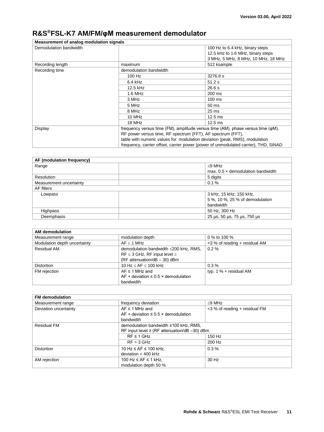### **R&S®FSL-K7 AM/FM/φM measurement demodulator**

| Measurement of analog modulation signals |                                                                                           |                                     |
|------------------------------------------|-------------------------------------------------------------------------------------------|-------------------------------------|
| Demodulation bandwidth                   |                                                                                           | 100 Hz to 6.4 kHz, binary steps     |
|                                          |                                                                                           | 12.5 kHz to 1.6 MHz, binary steps   |
|                                          |                                                                                           | 3 MHz, 5 MHz, 8 MHz, 10 MHz, 18 MHz |
| Recording length                         | maximum                                                                                   | 512 ksample                         |
| Recording time                           | demodulation bandwidth                                                                    |                                     |
|                                          | 100 Hz                                                                                    | 3276.8 s                            |
|                                          | $6.4$ kHz                                                                                 | 51.2 s                              |
|                                          | 12.5 kHz                                                                                  | 26.6 s                              |
|                                          | $1.6$ MHz                                                                                 | 200 ms                              |
|                                          | 3 MHz                                                                                     | $100 \text{ ms}$                    |
|                                          | 5 MHz                                                                                     | 50 ms                               |
|                                          | 8 MHz                                                                                     | $25 \text{ ms}$                     |
|                                          | 10 MHz                                                                                    | $12.5$ ms                           |
|                                          | 18 MHz                                                                                    | $12.5 \text{ ms}$                   |
| Display                                  | frequency versus time (FM), amplitude versus time (AM), phase versus time ( $\varphi$ M), |                                     |
|                                          | RF power versus time, RF spectrum (FFT), AF spectrum (FFT),                               |                                     |
|                                          | table with numeric values for: modulation deviation (peak, RMS), modulation               |                                     |
|                                          | frequency, carrier offset, carrier power (power of unmodulated carrier), THD, SINAD       |                                     |

| AF (modulation frequency) |                                          |  |
|---------------------------|------------------------------------------|--|
| Range                     | $<$ 9 MHz                                |  |
|                           | max. $0.5 \times$ demodulation bandwidth |  |
| Resolution                | 5 digits                                 |  |
| Measurement uncertainty   | 0.1%                                     |  |
| AF filters                |                                          |  |
| Lowpass                   | 3 kHz, 15 kHz, 150 kHz,                  |  |
|                           | 5 %, 10 %, 25 % of demodulation          |  |
|                           | bandwidth                                |  |
| Highpass                  | 50 Hz, 300 Hz                            |  |
| Deemphasis                | 25 µs, 50 µs, 75 µs, 750 µs              |  |

| AM demodulation              |                                                 |                               |
|------------------------------|-------------------------------------------------|-------------------------------|
| Measurement range            | modulation depth                                | 0 % to 100 %                  |
| Modulation depth uncertainty | AF < 1 MHz                                      | <3 % of reading + residual AM |
| <b>Residual AM</b>           | demodulation bandwidth ≤200 kHz, RMS,           | $0.2\%$                       |
|                              | $RF \leq 3$ GHz, RF input level $\geq$          |                               |
|                              | (RF attenuation/dB $-$ 30) dBm                  |                               |
| <b>Distortion</b>            | 10 Hz $\leq$ AF $\leq$ 100 kHz                  | $0.3\%$                       |
| FM rejection                 | $AF \leq 1$ MHz and                             | typ. $1\%$ + residual AM      |
|                              | AF + deviation $\leq$ 0.5 $\times$ demodulation |                               |
|                              | bandwidth                                       |                               |

| <b>FM</b> demodulation |                                                   |                               |
|------------------------|---------------------------------------------------|-------------------------------|
| Measurement range      | frequency deviation                               | $\leq$ 9 MHz                  |
| Deviation uncertainty  | $AF \leq 1$ MHz and                               | <3 % of reading + residual FM |
|                        | AF + deviation $\leq 0.5 \times$ demodulation     |                               |
|                        | bandwidth                                         |                               |
| <b>Residual FM</b>     | demodulation bandwidth ≤100 kHz, RMS,             |                               |
|                        | RF input level $\geq$ (RF attenuation/dB -30) dBm |                               |
|                        | $RF \leq 1$ GHz                                   | 150 Hz                        |
|                        | $RF = 3 GHz$                                      | 200 Hz                        |
| <b>Distortion</b>      | 10 Hz $\leq$ AF $\leq$ 100 kHz,                   | $0.3\%$                       |
|                        | deviation $<$ 400 kHz                             |                               |
| AM rejection           | 100 Hz $\leq$ AF $\leq$ 1 kHz,                    | 30 Hz                         |
|                        | modulation depth 50 %                             |                               |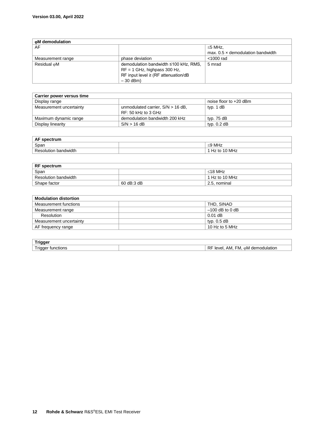| <b>coM</b> demodulation |                                          |                                          |
|-------------------------|------------------------------------------|------------------------------------------|
| AF                      |                                          | $\leq$ 5 MHz.                            |
|                         |                                          | max. $0.5 \times$ demodulation bandwidth |
| Measurement range       | phase deviation                          | $<$ 1000 rad                             |
| Residual <sub>O</sub> M | demodulation bandwidth ≤100 kHz, RMS,    | 5 mrad                                   |
|                         | $RF = 1$ GHz, highpass 300 Hz,           |                                          |
|                         | RF input level $\geq$ (RF attenuation/dB |                                          |
|                         | $-30$ dBm)                               |                                          |

| Carrier power versus time |                                     |                          |
|---------------------------|-------------------------------------|--------------------------|
| Display range             |                                     | noise floor to $+20$ dBm |
| Measurement uncertainty   | unmodulated carrier, $S/N > 16$ dB, | typ. 1 dB                |
|                           | RF: 50 kHz to 3 GHz                 |                          |
| Maximum dynamic range     | demodulation bandwidth 200 kHz      | typ. 75 dB               |
| Display linearity         | $S/N > 16$ dB                       | typ. $0.2$ dB            |

| AF spectrum          |  |              |
|----------------------|--|--------------|
| Span                 |  | ≤9 MHz       |
| Resolution bandwidth |  | Hz to 10 MHz |

| <b>RF</b> spectrum   |            |                |  |
|----------------------|------------|----------------|--|
| Span                 |            | $<$ 18 MHz     |  |
| Resolution bandwidth |            | 1 Hz to 10 MHz |  |
| Shape factor         | 60 dB:3 dB | 2.5. nominal   |  |

| <b>Modulation distortion</b> |                   |  |
|------------------------------|-------------------|--|
| Measurement functions        | THD, SINAD        |  |
| Measurement range            | $-100$ dB to 0 dB |  |
| Resolution                   | $0.01$ dB         |  |
| Measurement uncertainty      | typ. 0.5 dB       |  |
| AF frequency range           | 10 Hz to 5 MHz    |  |

| <b>Trigger</b>               |                                                           |
|------------------------------|-----------------------------------------------------------|
| i rigger<br>tunctions:<br>33 | D.<br>, demodulation<br>level<br>AM.<br>НM.<br>∩M ∩<br>П. |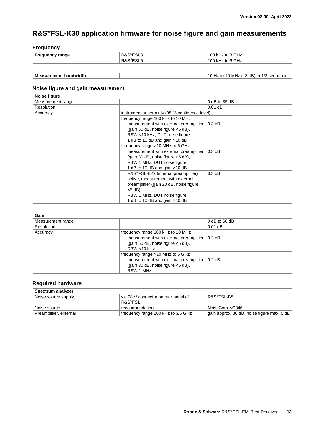### **R&S®FSL-K30 application firmware for noise figure and gain measurements**

#### **Frequency**

| <b>Frequency range</b> | R&S <sup>®</sup> ESL?<br>ఀ౬ఎ∟ు | kHz to 3 GHz<br>100 |
|------------------------|--------------------------------|---------------------|
|                        | R&S®ESI<br>∟ບ∟ເ                | kHz to 6 GHz<br>100 |

| <b>Measurement</b><br>bandwidth | dB)<br>$\overline{10}$<br>, MHz<br>sequence<br>a in<br>to |
|---------------------------------|-----------------------------------------------------------|

#### **Noise figure and gain measurement**

| Noise figure      |                                                |                 |  |
|-------------------|------------------------------------------------|-----------------|--|
| Measurement range |                                                | $0$ dB to 35 dB |  |
| Resolution        |                                                | $0.01$ dB       |  |
| Accuracy          | instrument uncertainty (95 % confidence level) |                 |  |
|                   | frequency range 100 kHz to 10 MHz              |                 |  |
|                   | measurement with external preamplifier         | 0.3 dB          |  |
|                   | (gain 50 dB, noise figure <5 dB),              |                 |  |
|                   | RBW <10 kHz, DUT noise figure                  |                 |  |
|                   | 1 dB to 10 dB and gain $>10$ dB                |                 |  |
|                   | frequency range >10 MHz to 6 GHz               |                 |  |
|                   | measurement with external preamplifier         | 0.3 dB          |  |
|                   | (gain 30 dB, noise figure <5 dB),              |                 |  |
|                   | RBW 1 MHz, DUT noise figure                    |                 |  |
|                   | 1 dB to 10 dB and gain > 10 dB                 |                 |  |
|                   | R&S®FSL-B22 (internal preamplifier)            | 0.3 dB          |  |
|                   | active, measurement with external              |                 |  |
|                   | preamplifier (gain 20 dB, noise figure         |                 |  |
|                   | $<$ 5 dB).                                     |                 |  |
|                   | RBW 1 MHz, DUT noise figure                    |                 |  |
|                   | 1 dB to 10 dB and gain > 10 dB                 |                 |  |

| Gain              |                                        |                 |
|-------------------|----------------------------------------|-----------------|
| Measurement range |                                        | $0$ dB to 60 dB |
| Resolution        |                                        | $0.01$ dB       |
| Accuracy          | frequency range 100 kHz to 10 MHz      |                 |
|                   | measurement with external preamplifier | $0.2$ dB        |
|                   | (gain 50 dB, noise figure <5 dB),      |                 |
|                   | RBW < 10 kHz                           |                 |
|                   | frequency range >10 MHz to 6 GHz       |                 |
|                   | measurement with external preamplifier | $0.2$ dB        |
|                   | (gain 30 dB, noise figure <5 dB),      |                 |
|                   | RBW 1 MHz                              |                 |

#### **Required hardware**

| Spectrum analyzer      |                                                |                                            |
|------------------------|------------------------------------------------|--------------------------------------------|
| Noise source supply    | via 28 V connector on rear panel of<br>R&S®FSL | R&S®FSL-B5                                 |
| Noise source           | recommendation                                 | NoiseCom NC346                             |
| Preamplifier, external | frequency range 100 kHz to 3/6 GHz             | gain approx. 30 dB, noise figure max. 5 dB |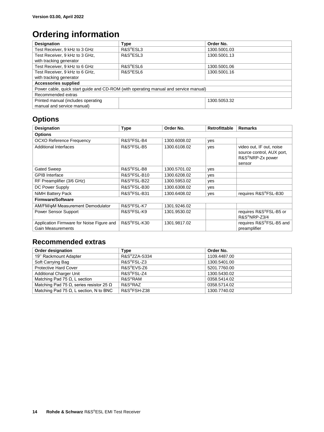## **Ordering information**

| <b>Designation</b>                                                                   | <b>Type</b>           | Order No.    |  |
|--------------------------------------------------------------------------------------|-----------------------|--------------|--|
| Test Receiver, 9 kHz to 3 GHz                                                        | R&S <sup>®</sup> ESL3 | 1300.5001.03 |  |
| Test Receiver, 9 kHz to 3 GHz,                                                       | R&S <sup>®</sup> ESL3 | 1300.5001.13 |  |
| with tracking generator                                                              |                       |              |  |
| Test Receiver, 9 kHz to 6 GHz                                                        | R&S <sup>®</sup> ESL6 | 1300.5001.06 |  |
| Test Receiver, 9 kHz to 6 GHz,                                                       | R&S <sup>®</sup> ESL6 | 1300.5001.16 |  |
| with tracking generator                                                              |                       |              |  |
| <b>Accessories supplied</b>                                                          |                       |              |  |
| Power cable, quick start quide and CD-ROM (with operating manual and service manual) |                       |              |  |
| Recommended extras                                                                   |                       |              |  |
| Printed manual (includes operating                                                   |                       | 1300.5053.32 |  |
| manual and service manual)                                                           |                       |              |  |

### **Options**

| <b>Designation</b>                                                    | <b>Type</b>              | Order No.    | <b>Retrofittable</b> | <b>Remarks</b>                                                            |
|-----------------------------------------------------------------------|--------------------------|--------------|----------------------|---------------------------------------------------------------------------|
| <b>Options</b>                                                        |                          |              |                      |                                                                           |
| <b>OCXO Reference Frequency</b>                                       | R&S <sup>®</sup> FSL-B4  | 1300.6008.02 | yes                  |                                                                           |
| <b>Additional Interfaces</b>                                          | R&S <sup>®</sup> FSL-B5  | 1300.6108.02 | yes                  | video out, IF out, noise<br>source control, AUX port,<br>R&S®NRP-Zx power |
|                                                                       | R&S <sup>®</sup> FSL-B8  |              |                      | sensor                                                                    |
| Gated Sweep                                                           |                          | 1300.5701.02 | yes                  |                                                                           |
| <b>GPIB</b> Interface                                                 | R&S®FSL-B10              | 1300.6208.02 | yes                  |                                                                           |
| RF Preamplifier (3/6 GHz)                                             | R&S®FSL-B22              | 1300.5953.02 | yes                  |                                                                           |
| DC Power Supply                                                       | R&S <sup>®</sup> FSL-B30 | 1300.6308.02 | ves                  |                                                                           |
| <b>NiMH Battery Pack</b>                                              | R&S®FSL-B31              | 1300.6408.02 | yes                  | requires R&S®FSL-B30                                                      |
| <b>Firmware/Software</b>                                              |                          |              |                      |                                                                           |
| AM/FM/oM Measurement Demodulator                                      | R&S <sup>®</sup> FSL-K7  | 1301.9246.02 |                      |                                                                           |
| Power Sensor Support                                                  | R&S <sup>®</sup> FSL-K9  | 1301.9530.02 |                      | requires R&S®FSL-B5 or<br>R&S <sup>®</sup> NRP-Z3/4                       |
| Application Firmware for Noise Figure and<br><b>Gain Measurements</b> | R&S <sup>®</sup> FSL-K30 | 1301.9817.02 |                      | requires R&S®FSL-B5 and<br>preamplifier                                   |

### **Recommended extras**

| Order designation                                      | Type                     | Order No.    |
|--------------------------------------------------------|--------------------------|--------------|
| 19" Rackmount Adapter                                  | R&S®ZZA-S334             | 1109.4487.00 |
| Soft Carrying Bag                                      | $RAS^{\otimes}FSI - Z3$  | 1300.5401.00 |
| <b>Protective Hard Cover</b>                           | R&S <sup>®</sup> EVS-Z6  | 5201.7760.00 |
| <b>Additional Charger Unit</b>                         | $RAS^{\circ}$ FSI-74     | 1300.5430.02 |
| Matching Pad 75 $\Omega$ , L section                   | R&S <sup>®</sup> RAM     | 0358.5414.02 |
| Matching Pad 75 $\Omega$ , series resistor 25 $\Omega$ | R&S <sup>®</sup> RAZ     | 0358.5714.02 |
| Matching Pad 75 $\Omega$ , L section, N to BNC         | R&S <sup>®</sup> FSH-Z38 | 1300.7740.02 |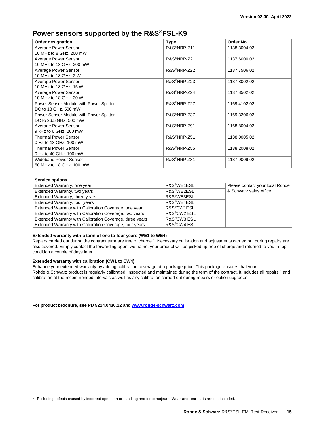### **Power sensors supported by the R&S®FSL-K9**

| <b>Order designation</b>                | <b>Type</b>              | Order No.    |
|-----------------------------------------|--------------------------|--------------|
| Average Power Sensor                    | R&S <sup>®</sup> NRP-Z11 | 1138.3004.02 |
| 10 MHz to 8 GHz, 200 mW                 |                          |              |
| Average Power Sensor                    | R&S <sup>®</sup> NRP-Z21 | 1137.6000.02 |
| 10 MHz to 18 GHz, 200 mW                |                          |              |
| Average Power Sensor                    | R&S <sup>®</sup> NRP-Z22 | 1137.7506.02 |
| 10 MHz to 18 GHz, 2 W                   |                          |              |
| Average Power Sensor                    | R&S <sup>®</sup> NRP-Z23 | 1137.8002.02 |
| 10 MHz to 18 GHz, 15 W                  |                          |              |
| Average Power Sensor                    | R&S <sup>®</sup> NRP-Z24 | 1137.8502.02 |
| 10 MHz to 18 GHz, 30 W                  |                          |              |
| Power Sensor Module with Power Splitter | R&S <sup>®</sup> NRP-Z27 | 1169.4102.02 |
| DC to 18 GHz, 500 mW                    |                          |              |
| Power Sensor Module with Power Splitter | R&S <sup>®</sup> NRP-Z37 | 1169.3206.02 |
| DC to 26.5 GHz, 500 mW                  |                          |              |
| Average Power Sensor                    | R&S <sup>®</sup> NRP-Z91 | 1168.8004.02 |
| 9 kHz to 6 GHz, 200 mW                  |                          |              |
| <b>Thermal Power Sensor</b>             | R&S <sup>®</sup> NRP-Z51 | 1138.0005.02 |
| 0 Hz to 18 GHz, 100 mW                  |                          |              |
| <b>Thermal Power Sensor</b>             | R&S <sup>®</sup> NRP-Z55 | 1138.2008.02 |
| 0 Hz to 40 GHz, 100 mW                  |                          |              |
| <b>Wideband Power Sensor</b>            | R&S <sup>®</sup> NRP-Z81 | 1137.9009.02 |
| 50 MHz to 18 GHz, 100 mW                |                          |              |

| <b>Service options</b>                                   |                                      |                                 |
|----------------------------------------------------------|--------------------------------------|---------------------------------|
| Extended Warranty, one year                              | R&S <sup>®</sup> WE1ESL              | Please contact your local Rohde |
| Extended Warranty, two years                             | R&S <sup>®</sup> WE2ESL              | & Schwarz sales office.         |
| Extended Warranty, three years                           | R&S <sup>®</sup> WE3ESL              |                                 |
| Extended Warranty, four years                            | R&S <sup>®</sup> WE4ESL              |                                 |
| Extended Warranty with Calibration Coverage, one year    | R&S <sup>®</sup> CW1ESL              |                                 |
| Extended Warranty with Calibration Coverage, two years   | R&S <sup>®</sup> CW <sub>2</sub> ESL |                                 |
| Extended Warranty with Calibration Coverage, three years | R&S®CW3 ESL                          |                                 |
| Extended Warranty with Calibration Coverage, four years  | R&S <sup>®</sup> CW4 ESL             |                                 |

#### **Extended warranty with a term of one to four years (WE1 to WE4)**

<span id="page-14-0"></span>Repairs carried out during the contract term are free of charge <sup>1</sup>. Necessary calibration and adjustments carried out during repairs are also covered. Simply contact the forwarding agent we name; your product will be picked up free of charge and returned to you in top condition a couple of days later.

#### **Extended warranty with calibration (CW1 to CW4)**

 $\overline{a}$ 

Enhance your extended warranty by adding calibration coverage at a package price. This package ensures that your Rohde & Schwarz product i[s](#page-14-0) regularly calibrated, inspected and maintained during the term of the contract. It includes all repairs 1 and calibration at the recommended intervals as well as any calibration carried out during repairs or option upgrades.

**For product brochure, see PD 5214.0430.12 an[d www.rohde-schwarz.com](http://www.rohde-schwarz.com/)**

<sup>1</sup> Excluding defects caused by incorrect operation or handling and force majeure. Wear-and-tear parts are not included.